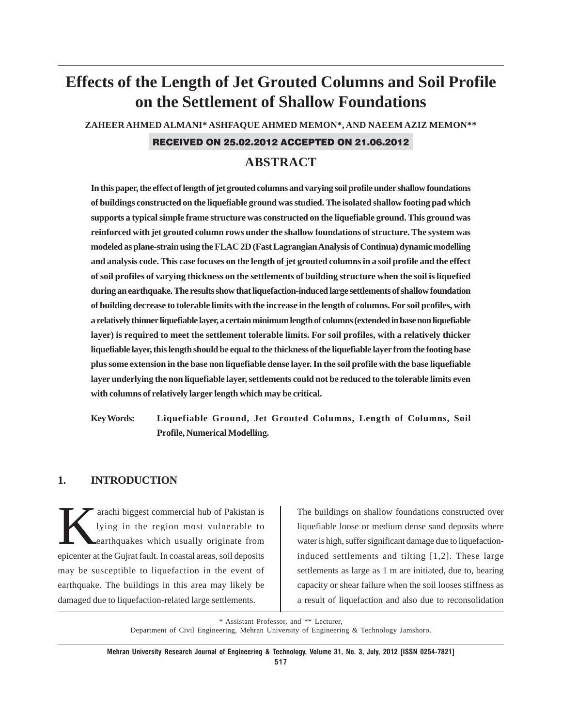# **Effects of the Length of Jet Grouted Columns and Soil Profile on the Settlement of Shallow Foundations**

**ZAHEER AHMED ALMANI\* ASHFAQUE AHMED MEMON\*, AND NAEEM AZIZ MEMON\*\***

### RECEIVED ON 25.02.2012 ACCEPTED ON 21.06.2012

## **ABSTRACT**

**In this paper, the effect of length of jet grouted columns and varying soil profile under shallow foundations of buildings constructed on the liquefiable ground was studied. The isolated shallow footing pad which supports a typical simple frame structure was constructed on the liquefiable ground. This ground was reinforced with jet grouted column rows under the shallow foundations of structure. The system was modeled as plane-strain using the FLAC 2D (Fast Lagrangian Analysis of Continua) dynamic modelling and analysis code. This case focuses on the length of jet grouted columns in a soil profile and the effect of soil profiles of varying thickness on the settlements of building structure when the soil is liquefied during an earthquake. The results show that liquefaction-induced large settlements of shallow foundation of building decrease to tolerable limits with the increase in the length of columns. For soil profiles, with a relatively thinner liquefiable layer, a certain minimum length of columns (extended in base non liquefiable layer) is required to meet the settlement tolerable limits. For soil profiles, with a relatively thicker liquefiable layer, this length should be equal to the thickness of the liquefiable layer from the footing base plus some extension in the base non liquefiable dense layer. In the soil profile with the base liquefiable layer underlying the non liquefiable layer, settlements could not be reduced to the tolerable limits even with columns of relatively larger length which may be critical.**

**Key Words: Liquefiable Ground, Jet Grouted Columns, Length of Columns, Soil Profile, Numerical Modelling.**

### **1. INTRODUCTION**

arachi biggest commercial hub of Pakistan is<br>lying in the region most vulnerable to<br>earthquakes which usually originate from lying in the region most vulnerable to earthquakes which usually originate from epicenter at the Gujrat fault. In coastal areas, soil deposits may be susceptible to liquefaction in the event of earthquake. The buildings in this area may likely be damaged due to liquefaction-related large settlements.

The buildings on shallow foundations constructed over liquefiable loose or medium dense sand deposits where water is high, suffer significant damage due to liquefactioninduced settlements and tilting [1,2]. These large settlements as large as 1 m are initiated, due to, bearing capacity or shear failure when the soil looses stiffness as a result of liquefaction and also due to reconsolidation

\* Assistant Professor, and \*\* Lecturer, Department of Civil Engineering, Mehran University of Engineering & Technology Jamshoro.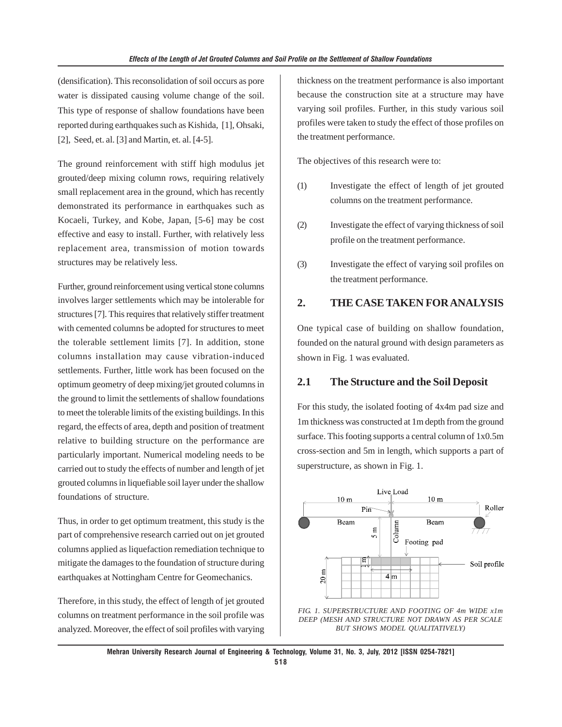(densification). This reconsolidation of soil occurs as pore water is dissipated causing volume change of the soil. This type of response of shallow foundations have been reported during earthquakes such as Kishida, [1], Ohsaki, [2], Seed, et. al. [3] and Martin, et. al. [4-5].

The ground reinforcement with stiff high modulus jet grouted/deep mixing column rows, requiring relatively small replacement area in the ground, which has recently demonstrated its performance in earthquakes such as Kocaeli, Turkey, and Kobe, Japan, [5-6] may be cost effective and easy to install. Further, with relatively less replacement area, transmission of motion towards structures may be relatively less.

Further, ground reinforcement using vertical stone columns involves larger settlements which may be intolerable for structures [7]. This requires that relatively stiffer treatment with cemented columns be adopted for structures to meet the tolerable settlement limits [7]. In addition, stone columns installation may cause vibration-induced settlements. Further, little work has been focused on the optimum geometry of deep mixing/jet grouted columns in the ground to limit the settlements of shallow foundations to meet the tolerable limits of the existing buildings. In this regard, the effects of area, depth and position of treatment relative to building structure on the performance are particularly important. Numerical modeling needs to be carried out to study the effects of number and length of jet grouted columns in liquefiable soil layer under the shallow foundations of structure.

Thus, in order to get optimum treatment, this study is the part of comprehensive research carried out on jet grouted columns applied as liquefaction remediation technique to mitigate the damages to the foundation of structure during earthquakes at Nottingham Centre for Geomechanics.

Therefore, in this study, the effect of length of jet grouted columns on treatment performance in the soil profile was analyzed. Moreover, the effect of soil profiles with varying thickness on the treatment performance is also important because the construction site at a structure may have varying soil profiles. Further, in this study various soil profiles were taken to study the effect of those profiles on the treatment performance.

The objectives of this research were to:

- (1) Investigate the effect of length of jet grouted columns on the treatment performance.
- (2) Investigate the effect of varying thickness of soil profile on the treatment performance.
- (3) Investigate the effect of varying soil profiles on the treatment performance.

## **2. THE CASE TAKEN FOR ANALYSIS**

One typical case of building on shallow foundation, founded on the natural ground with design parameters as shown in Fig. 1 was evaluated.

### **2.1 The Structure and the Soil Deposit**

For this study, the isolated footing of 4x4m pad size and 1m thickness was constructed at 1m depth from the ground surface. This footing supports a central column of 1x0.5m cross-section and 5m in length, which supports a part of superstructure, as shown in Fig. 1.



*FIG. 1. SUPERSTRUCTURE AND FOOTING OF 4m WIDE x1m DEEP (MESH AND STRUCTURE NOT DRAWN AS PER SCALE BUT SHOWS MODEL QUALITATIVELY)*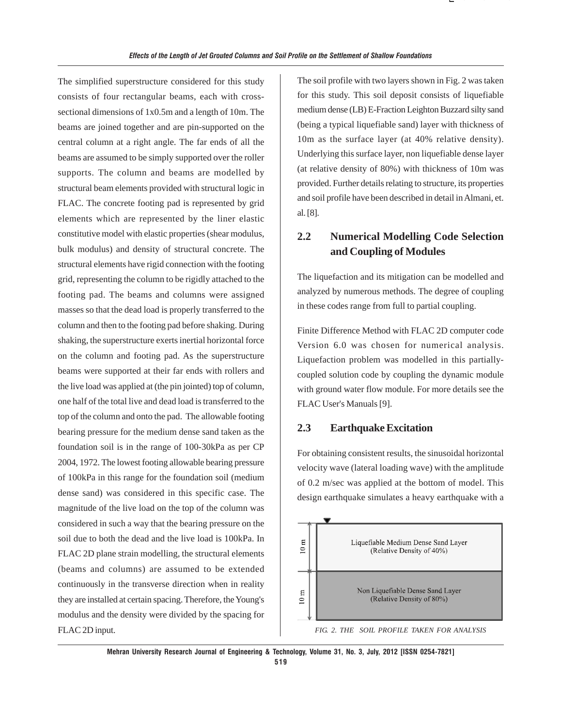The simplified superstructure considered for this study consists of four rectangular beams, each with crosssectional dimensions of 1x0.5m and a length of 10m. The beams are joined together and are pin-supported on the central column at a right angle. The far ends of all the beams are assumed to be simply supported over the roller supports. The column and beams are modelled by structural beam elements provided with structural logic in FLAC. The concrete footing pad is represented by grid elements which are represented by the liner elastic constitutive model with elastic properties (shear modulus, bulk modulus) and density of structural concrete. The structural elements have rigid connection with the footing grid, representing the column to be rigidly attached to the footing pad. The beams and columns were assigned masses so that the dead load is properly transferred to the column and then to the footing pad before shaking. During shaking, the superstructure exerts inertial horizontal force on the column and footing pad. As the superstructure beams were supported at their far ends with rollers and the live load was applied at (the pin jointed) top of column, one half of the total live and dead load is transferred to the top of the column and onto the pad. The allowable footing bearing pressure for the medium dense sand taken as the foundation soil is in the range of 100-30kPa as per CP 2004, 1972. The lowest footing allowable bearing pressure of 100kPa in this range for the foundation soil (medium dense sand) was considered in this specific case. The magnitude of the live load on the top of the column was considered in such a way that the bearing pressure on the soil due to both the dead and the live load is 100kPa. In FLAC 2D plane strain modelling, the structural elements (beams and columns) are assumed to be extended continuously in the transverse direction when in reality they are installed at certain spacing. Therefore, the Young's modulus and the density were divided by the spacing for FLAC 2D input.

The soil profile with two layers shown in Fig. 2 was taken for this study. This soil deposit consists of liquefiable medium dense (LB) E-Fraction Leighton Buzzard silty sand (being a typical liquefiable sand) layer with thickness of 10m as the surface layer (at 40% relative density). Underlying this surface layer, non liquefiable dense layer (at relative density of 80%) with thickness of 10m was provided. Further details relating to structure, its properties and soil profile have been described in detail in Almani, et. al. [8].

( ) ( ⎣

## **2.2 Numerical Modelling Code Selection and Coupling of Modules**

The liquefaction and its mitigation can be modelled and analyzed by numerous methods. The degree of coupling in these codes range from full to partial coupling.

Finite Difference Method with FLAC 2D computer code Version 6.0 was chosen for numerical analysis. Liquefaction problem was modelled in this partiallycoupled solution code by coupling the dynamic module with ground water flow module. For more details see the FLAC User's Manuals [9].

### **2.3 Earthquake Excitation**

For obtaining consistent results, the sinusoidal horizontal velocity wave (lateral loading wave) with the amplitude of 0.2 m/sec was applied at the bottom of model. This design earthquake simulates a heavy earthquake with a



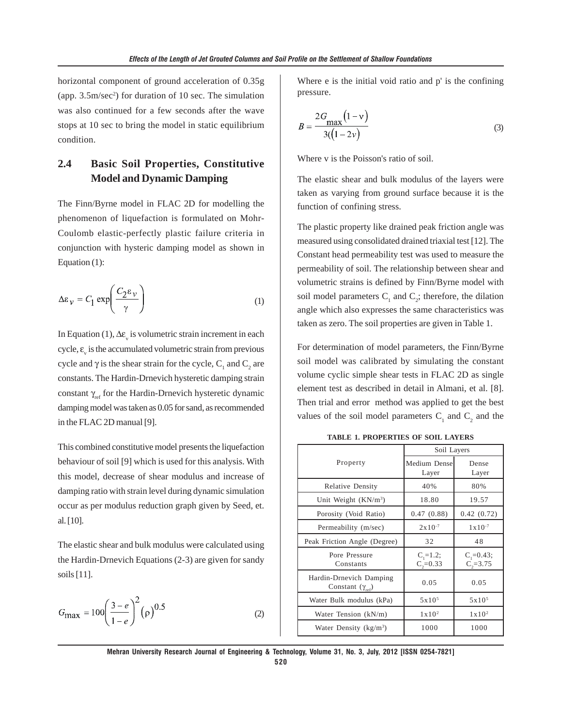horizontal component of ground acceleration of 0.35g (app. 3.5m/sec<sup>2</sup>) for duration of 10 sec. The simulation was also continued for a few seconds after the wave stops at 10 sec to bring the model in static equilibrium condition.

## **2.4 Basic Soil Properties, Constitutive Model and Dynamic Damping**

The Finn/Byrne model in FLAC 2D for modelling the phenomenon of liquefaction is formulated on Mohr-Coulomb elastic-perfectly plastic failure criteria in conjunction with hysteric damping model as shown in Equation (1):

$$
\Delta \varepsilon_{\nu} = C_1 \exp\left(\frac{C_2 \varepsilon_{\nu}}{\gamma}\right) \tag{1}
$$

In Equation (1),  $\Delta \varepsilon$ <sub>v</sub> is volumetric strain increment in each cycle,  $\varepsilon$ <sub>v</sub> is the accumulated volumetric strain from previous cycle and  $\gamma$  is the shear strain for the cycle, C<sub>1</sub> and C<sub>2</sub> are constants. The Hardin-Drnevich hysteretic damping strain constant  $\gamma_{\text{ref}}$  for the Hardin-Drnevich hysteretic dynamic damping model was taken as 0.05 for sand, as recommended in the FLAC 2D manual [9].

This combined constitutive model presents the liquefaction behaviour of soil [9] which is used for this analysis. With this model, decrease of shear modulus and increase of damping ratio with strain level during dynamic simulation occur as per modulus reduction graph given by Seed, et. al. [10].

The elastic shear and bulk modulus were calculated using the Hardin-Drnevich Equations (2-3) are given for sandy soils [11].

$$
G_{\text{max}} = 100 \left( \frac{3 - e}{1 - e} \right)^2 (\rho)^{0.5}
$$
 (2)

Where e is the initial void ratio and p' is the confining pressure.

$$
B = \frac{2G_{\text{max}}(1 - v)}{3(1 - 2v)}
$$
(3)

Where v is the Poisson's ratio of soil.

The elastic shear and bulk modulus of the layers were taken as varying from ground surface because it is the function of confining stress.

The plastic property like drained peak friction angle was measured using consolidated drained triaxial test [12]. The Constant head permeability test was used to measure the permeability of soil. The relationship between shear and volumetric strains is defined by Finn/Byrne model with soil model parameters  $C_1$  and  $C_2$ ; therefore, the dilation angle which also expresses the same characteristics was taken as zero. The soil properties are given in Table 1.

For determination of model parameters, the Finn/Byrne soil model was calibrated by simulating the constant volume cyclic simple shear tests in FLAC 2D as single element test as described in detail in Almani, et al. [8]. Then trial and error method was applied to get the best values of the soil model parameters  $C_1$  and  $C_2$  and the

**TABLE 1. PROPERTIES OF SOIL LAYERS**

|                                                             | Soil Layers                    |                               |
|-------------------------------------------------------------|--------------------------------|-------------------------------|
| Property                                                    | Medium Densel<br>Layer         | Dense<br>Layer                |
| Relative Density                                            | 40%                            | 80%                           |
| Unit Weight $(KN/m^3)$                                      | 18.80                          | 19.57                         |
| Porosity (Void Ratio)                                       | 0.47(0.88)                     | 0.42(0.72)                    |
| Permeability (m/sec)                                        | $2x10^{-7}$                    | $1x10^{-7}$                   |
| Peak Friction Angle (Degree)                                | 32                             | 48                            |
| Pore Pressure<br>Constants                                  | $C_i = 1.2;$<br>$C_{2} = 0.33$ | $C_i = 0.43;$<br>$C_2 = 3.75$ |
| Hardin-Drnevich Damping<br>Constant $(\gamma_{\text{ref}})$ | 0.05                           | 0.05                          |
| Water Bulk modulus (kPa)                                    | 5x10 <sup>5</sup>              | 5x10 <sup>5</sup>             |
| Water Tension (kN/m)                                        | $1 \times 10^2$                | $1 \times 10^2$               |
| Water Density ( $kg/m3$ )                                   | 1000                           | 1000                          |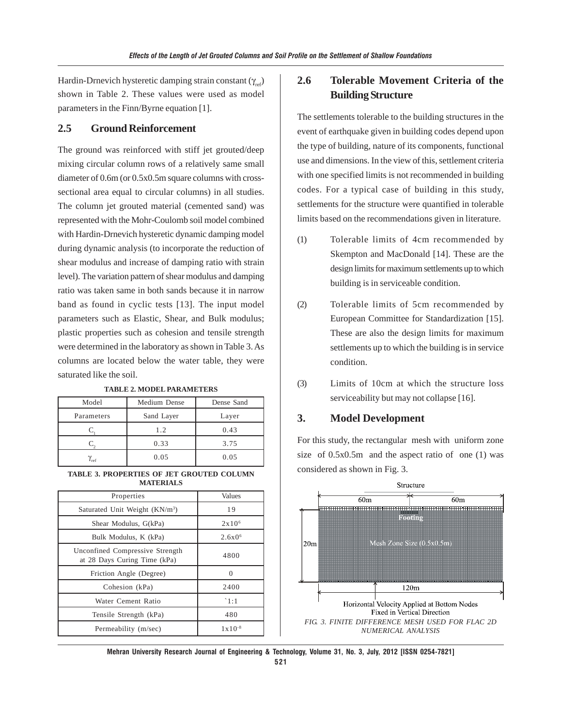Hardin-Drnevich hysteretic damping strain constant  $(\gamma_{ref})$ shown in Table 2. These values were used as model parameters in the Finn/Byrne equation [1].

### **2.5 Ground Reinforcement**

The ground was reinforced with stiff jet grouted/deep mixing circular column rows of a relatively same small diameter of 0.6m (or 0.5x0.5m square columns with crosssectional area equal to circular columns) in all studies. The column jet grouted material (cemented sand) was represented with the Mohr-Coulomb soil model combined with Hardin-Drnevich hysteretic dynamic damping model during dynamic analysis (to incorporate the reduction of shear modulus and increase of damping ratio with strain level). The variation pattern of shear modulus and damping ratio was taken same in both sands because it in narrow band as found in cyclic tests [13]. The input model parameters such as Elastic, Shear, and Bulk modulus; plastic properties such as cohesion and tensile strength were determined in the laboratory as shown in Table 3. As columns are located below the water table, they were saturated like the soil.

| Model              | Medium Dense | Dense Sand |
|--------------------|--------------|------------|
| Parameters         | Sand Layer   | Layer      |
|                    | 1.2          | 0.43       |
|                    | 0.33         | 3.75       |
| $\gamma_{\rm ref}$ | 0.05         | 0.05       |

**TABLE 2. MODEL PARAMETERS**

#### **TABLE 3. PROPERTIES OF JET GROUTED COLUMN MATERIALS**

| Properties                                                      | Values             |
|-----------------------------------------------------------------|--------------------|
| Saturated Unit Weight (KN/m <sup>3</sup> )                      | 19                 |
| Shear Modulus, G(kPa)                                           | 2x10 <sup>6</sup>  |
| Bulk Modulus, K (kPa)                                           | $2.6x0^{6}$        |
| Unconfined Compressive Strength<br>at 28 Days Curing Time (kPa) | 4800               |
| Friction Angle (Degree)                                         | $\Omega$           |
| Cohesion (kPa)                                                  | 2400               |
| Water Cement Ratio                                              | $\hat{1}:1$        |
| Tensile Strength (kPa)                                          | 480                |
| Permeability (m/sec)                                            | $1 \times 10^{-8}$ |

## **2.6 Tolerable Movement Criteria of the Building Structure**

The settlements tolerable to the building structures in the event of earthquake given in building codes depend upon the type of building, nature of its components, functional use and dimensions. In the view of this, settlement criteria with one specified limits is not recommended in building codes. For a typical case of building in this study, settlements for the structure were quantified in tolerable limits based on the recommendations given in literature.

- (1) Tolerable limits of 4cm recommended by Skempton and MacDonald [14]. These are the design limits for maximum settlements up to which building is in serviceable condition.
- (2) Tolerable limits of 5cm recommended by European Committee for Standardization [15]. These are also the design limits for maximum settlements up to which the building is in service condition.
- (3) Limits of 10cm at which the structure loss serviceability but may not collapse [16].

### **3. Model Development**

For this study, the rectangular mesh with uniform zone size of 0.5x0.5m and the aspect ratio of one (1) was considered as shown in Fig. 3.

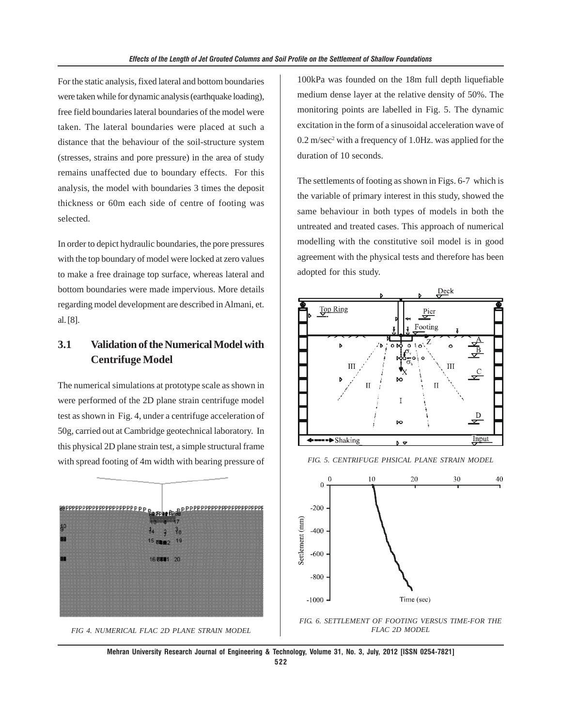For the static analysis, fixed lateral and bottom boundaries were taken while for dynamic analysis (earthquake loading), free field boundaries lateral boundaries of the model were taken. The lateral boundaries were placed at such a distance that the behaviour of the soil-structure system (stresses, strains and pore pressure) in the area of study remains unaffected due to boundary effects. For this analysis, the model with boundaries 3 times the deposit thickness or 60m each side of centre of footing was selected.

In order to depict hydraulic boundaries, the pore pressures with the top boundary of model were locked at zero values to make a free drainage top surface, whereas lateral and bottom boundaries were made impervious. More details regarding model development are described in Almani, et. al. [8].

## **3.1 Validation of the Numerical Model with Centrifuge Model**

The numerical simulations at prototype scale as shown in were performed of the 2D plane strain centrifuge model test as shown in Fig. 4, under a centrifuge acceleration of 50g, carried out at Cambridge geotechnical laboratory. In this physical 2D plane strain test, a simple structural frame with spread footing of 4m width with bearing pressure of





100kPa was founded on the 18m full depth liquefiable medium dense layer at the relative density of 50%. The monitoring points are labelled in Fig. 5. The dynamic excitation in the form of a sinusoidal acceleration wave of 0.2 m/sec<sup>2</sup> with a frequency of 1.0Hz. was applied for the duration of 10 seconds.

The settlements of footing as shown in Figs. 6-7 which is the variable of primary interest in this study, showed the same behaviour in both types of models in both the untreated and treated cases. This approach of numerical modelling with the constitutive soil model is in good agreement with the physical tests and therefore has been adopted for this study.



*FIG. 5. CENTRIFUGE PHSICAL PLANE STRAIN MODEL*



*FIG. 6. SETTLEMENT OF FOOTING VERSUS TIME-FOR THE FLAC 2D MODEL*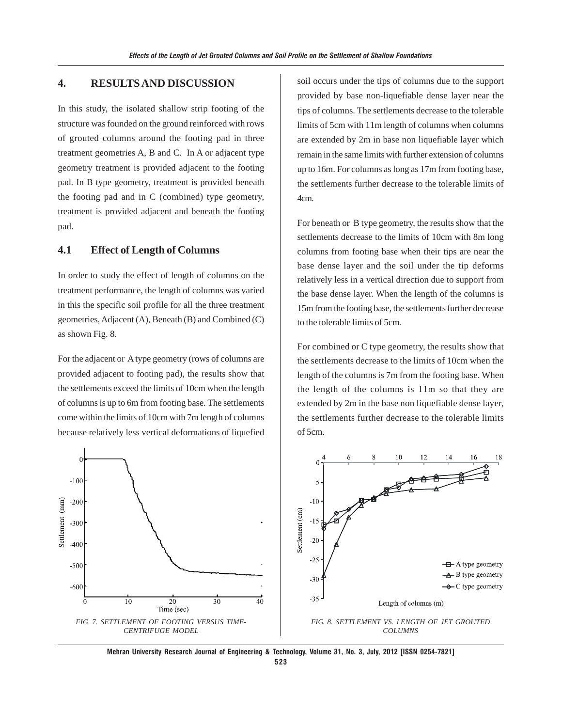## **4. RESULTS AND DISCUSSION**

In this study, the isolated shallow strip footing of the structure was founded on the ground reinforced with rows of grouted columns around the footing pad in three treatment geometries A, B and C. In A or adjacent type geometry treatment is provided adjacent to the footing pad. In B type geometry, treatment is provided beneath the footing pad and in C (combined) type geometry, treatment is provided adjacent and beneath the footing pad.

### **4.1 Effect of Length of Columns**

In order to study the effect of length of columns on the treatment performance, the length of columns was varied in this the specific soil profile for all the three treatment geometries, Adjacent (A), Beneath (B) and Combined (C) as shown Fig. 8.

For the adjacent or A type geometry (rows of columns are provided adjacent to footing pad), the results show that the settlements exceed the limits of 10cm when the length of columns is up to 6m from footing base. The settlements come within the limits of 10cm with 7m length of columns because relatively less vertical deformations of liquefied soil occurs under the tips of columns due to the support provided by base non-liquefiable dense layer near the tips of columns. The settlements decrease to the tolerable limits of 5cm with 11m length of columns when columns are extended by 2m in base non liquefiable layer which remain in the same limits with further extension of columns up to 16m. For columns as long as 17m from footing base, the settlements further decrease to the tolerable limits of 4cm.

For beneath or B type geometry, the results show that the settlements decrease to the limits of 10cm with 8m long columns from footing base when their tips are near the base dense layer and the soil under the tip deforms relatively less in a vertical direction due to support from the base dense layer. When the length of the columns is 15m from the footing base, the settlements further decrease to the tolerable limits of 5cm.

For combined or C type geometry, the results show that the settlements decrease to the limits of 10cm when the length of the columns is 7m from the footing base. When the length of the columns is 11m so that they are extended by 2m in the base non liquefiable dense layer, the settlements further decrease to the tolerable limits of 5cm.



**Mehran University Research Journal of Engineering & Technology, Volume 31, No. 3, July, 2012 [ISSN 0254-7821] 523**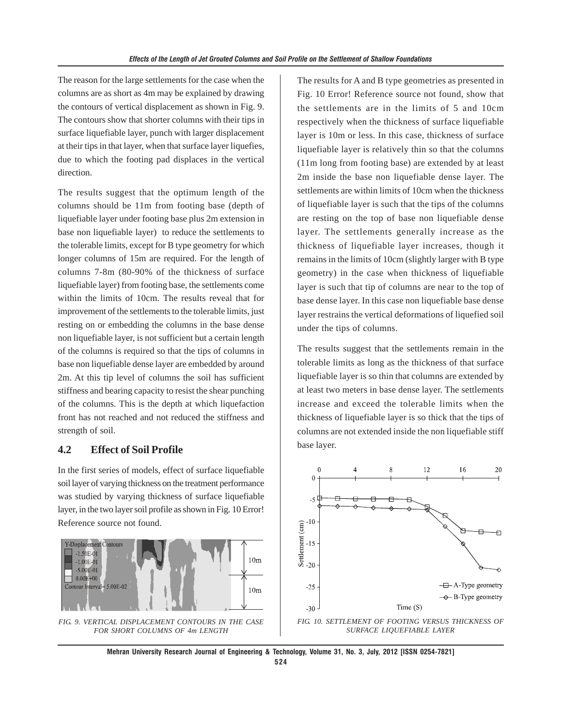The reason for the large settlements for the case when the columns are as short as 4m may be explained by drawing the contours of vertical displacement as shown in Fig. 9. The contours show that shorter columns with their tips in surface liquefiable layer, punch with larger displacement at their tips in that layer, when that surface layer liquefies, due to which the footing pad displaces in the vertical direction.

The results suggest that the optimum length of the columns should be 11m from footing base (depth of liquefiable layer under footing base plus 2m extension in base non liquefiable layer) to reduce the settlements to the tolerable limits, except for B type geometry for which longer columns of 15m are required. For the length of columns 7-8m (80-90% of the thickness of surface liquefiable layer) from footing base, the settlements come within the limits of 10cm. The results reveal that for improvement of the settlements to the tolerable limits, just resting on or embedding the columns in the base dense non liquefiable layer, is not sufficient but a certain length of the columns is required so that the tips of columns in base non liquefiable dense layer are embedded by around 2m. At this tip level of columns the soil has sufficient stiffness and bearing capacity to resist the shear punching of the columns. This is the depth at which liquefaction front has not reached and not reduced the stiffness and strength of soil.

### **4.2 Effect of Soil Profile**

In the first series of models, effect of surface liquefiable soil layer of varying thickness on the treatment performance was studied by varying thickness of surface liquefiable layer, in the two layer soil profile as shown in Fig. 10 Error! Reference source not found.



*FIG. 9. VERTICAL DISPLACEMENT CONTOURS IN THE CASE FOR SHORT COLUMNS OF 4m LENGTH*

The results for A and B type geometries as presented in Fig. 10 Error! Reference source not found, show that the settlements are in the limits of 5 and 10cm respectively when the thickness of surface liquefiable layer is 10m or less. In this case, thickness of surface liquefiable layer is relatively thin so that the columns (11m long from footing base) are extended by at least 2m inside the base non liquefiable dense layer. The settlements are within limits of 10cm when the thickness of liquefiable layer is such that the tips of the columns are resting on the top of base non liquefiable dense layer. The settlements generally increase as the thickness of liquefiable layer increases, though it remains in the limits of 10cm (slightly larger with B type geometry) in the case when thickness of liquefiable layer is such that tip of columns are near to the top of base dense layer. In this case non liquefiable base dense layer restrains the vertical deformations of liquefied soil under the tips of columns.

The results suggest that the settlements remain in the tolerable limits as long as the thickness of that surface liquefiable layer is so thin that columns are extended by at least two meters in base dense layer. The settlements increase and exceed the tolerable limits when the thickness of liquefiable layer is so thick that the tips of columns are not extended inside the non liquefiable stiff base layer.



*SURFACE LIQUEFIABLE LAYER*

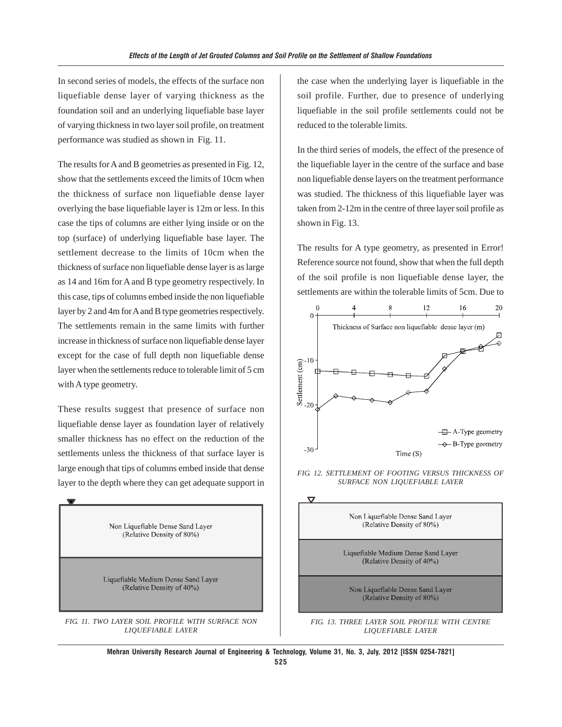In second series of models, the effects of the surface non liquefiable dense layer of varying thickness as the foundation soil and an underlying liquefiable base layer of varying thickness in two layer soil profile, on treatment performance was studied as shown in Fig. 11.

The results for A and B geometries as presented in Fig. 12, show that the settlements exceed the limits of 10cm when the thickness of surface non liquefiable dense layer overlying the base liquefiable layer is 12m or less. In this case the tips of columns are either lying inside or on the top (surface) of underlying liquefiable base layer. The settlement decrease to the limits of 10cm when the thickness of surface non liquefiable dense layer is as large as 14 and 16m for A and B type geometry respectively. In this case, tips of columns embed inside the non liquefiable layer by 2 and 4m for A and B type geometries respectively. The settlements remain in the same limits with further increase in thickness of surface non liquefiable dense layer except for the case of full depth non liquefiable dense layer when the settlements reduce to tolerable limit of 5 cm with A type geometry.

These results suggest that presence of surface non liquefiable dense layer as foundation layer of relatively smaller thickness has no effect on the reduction of the settlements unless the thickness of that surface layer is large enough that tips of columns embed inside that dense layer to the depth where they can get adequate support in



the case when the underlying layer is liquefiable in the soil profile. Further, due to presence of underlying liquefiable in the soil profile settlements could not be reduced to the tolerable limits.

In the third series of models, the effect of the presence of the liquefiable layer in the centre of the surface and base non liquefiable dense layers on the treatment performance was studied. The thickness of this liquefiable layer was taken from 2-12m in the centre of three layer soil profile as shown in Fig. 13.

The results for A type geometry, as presented in Error! Reference source not found, show that when the full depth of the soil profile is non liquefiable dense layer, the settlements are within the tolerable limits of 5cm. Due to



*FIG. 12. SETTLEMENT OF FOOTING VERSUS THICKNESS OF SURFACE NON LIQUEFIABLE LAYER*



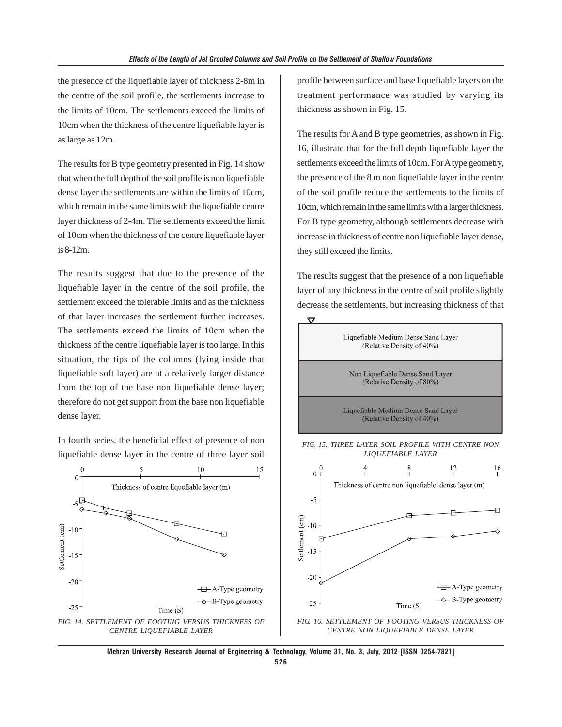the presence of the liquefiable layer of thickness 2-8m in the centre of the soil profile, the settlements increase to the limits of 10cm. The settlements exceed the limits of 10cm when the thickness of the centre liquefiable layer is as large as 12m.

The results for B type geometry presented in Fig. 14 show that when the full depth of the soil profile is non liquefiable dense layer the settlements are within the limits of 10cm, which remain in the same limits with the liquefiable centre layer thickness of 2-4m. The settlements exceed the limit of 10cm when the thickness of the centre liquefiable layer is 8-12m.

The results suggest that due to the presence of the liquefiable layer in the centre of the soil profile, the settlement exceed the tolerable limits and as the thickness of that layer increases the settlement further increases. The settlements exceed the limits of 10cm when the thickness of the centre liquefiable layer is too large. In this situation, the tips of the columns (lying inside that liquefiable soft layer) are at a relatively larger distance from the top of the base non liquefiable dense layer; therefore do not get support from the base non liquefiable dense layer.

In fourth series, the beneficial effect of presence of non liquefiable dense layer in the centre of three layer soil



profile between surface and base liquefiable layers on the treatment performance was studied by varying its thickness as shown in Fig. 15.

The results for A and B type geometries, as shown in Fig. 16, illustrate that for the full depth liquefiable layer the settlements exceed the limits of 10cm. For A type geometry, the presence of the 8 m non liquefiable layer in the centre of the soil profile reduce the settlements to the limits of 10cm, which remain in the same limits with a larger thickness. For B type geometry, although settlements decrease with increase in thickness of centre non liquefiable layer dense, they still exceed the limits.

The results suggest that the presence of a non liquefiable layer of any thickness in the centre of soil profile slightly decrease the settlements, but increasing thickness of that



*FIG. 16. SETTLEMENT OF FOOTING VERSUS THICKNESS OF CENTRE NON LIQUEFIABLE DENSE LAYER*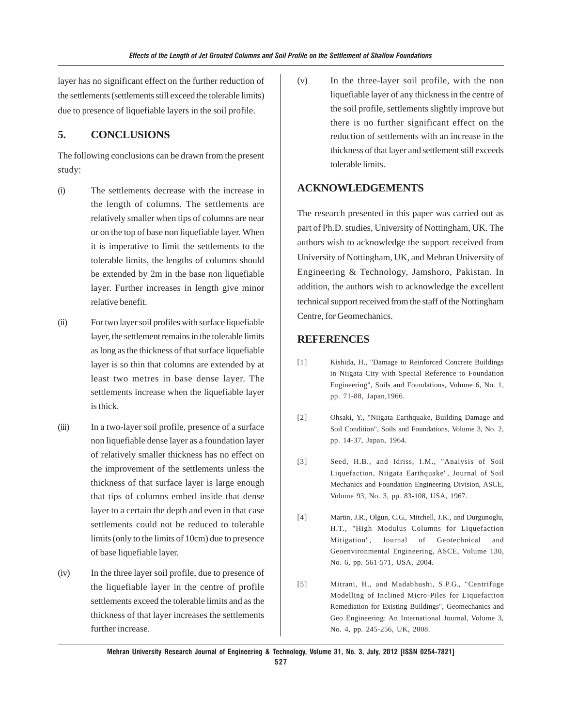layer has no significant effect on the further reduction of the settlements (settlements still exceed the tolerable limits) due to presence of liquefiable layers in the soil profile.

## **5. CONCLUSIONS**

The following conclusions can be drawn from the present study:

- (i) The settlements decrease with the increase in the length of columns. The settlements are relatively smaller when tips of columns are near or on the top of base non liquefiable layer. When it is imperative to limit the settlements to the tolerable limits, the lengths of columns should be extended by 2m in the base non liquefiable layer. Further increases in length give minor relative benefit.
- (ii) For two layer soil profiles with surface liquefiable layer, the settlement remains in the tolerable limits as long as the thickness of that surface liquefiable layer is so thin that columns are extended by at least two metres in base dense layer. The settlements increase when the liquefiable layer is thick.
- (iii) In a two-layer soil profile, presence of a surface non liquefiable dense layer as a foundation layer of relatively smaller thickness has no effect on the improvement of the settlements unless the thickness of that surface layer is large enough that tips of columns embed inside that dense layer to a certain the depth and even in that case settlements could not be reduced to tolerable limits (only to the limits of 10cm) due to presence of base liquefiable layer.
- (iv) In the three layer soil profile, due to presence of the liquefiable layer in the centre of profile settlements exceed the tolerable limits and as the thickness of that layer increases the settlements further increase.

(v) In the three-layer soil profile, with the non liquefiable layer of any thickness in the centre of the soil profile, settlements slightly improve but there is no further significant effect on the reduction of settlements with an increase in the thickness of that layer and settlement still exceeds tolerable limits.

## **ACKNOWLEDGEMENTS**

The research presented in this paper was carried out as part of Ph.D. studies, University of Nottingham, UK. The authors wish to acknowledge the support received from University of Nottingham, UK, and Mehran University of Engineering & Technology, Jamshoro, Pakistan. In addition, the authors wish to acknowledge the excellent technical support received from the staff of the Nottingham Centre, for Geomechanics.

## **REFERENCES**

- [1] Kishida, H., "Damage to Reinforced Concrete Buildings in Niigata City with Special Reference to Foundation Engineering", Soils and Foundations, Volume 6, No. 1, pp. 71-88, Japan,1966.
- [2] Ohsaki, Y., "Niigata Earthquake, Building Damage and Soil Condition", Soils and Foundations, Volume 3, No. 2, pp. 14-37, Japan, 1964.
- [3] Seed, H.B., and Idriss, I.M., "Analysis of Soil Liquefaction, Niigata Earthquake", Journal of Soil Mechanics and Foundation Engineering Division, ASCE, Volume 93, No. 3, pp. 83-108, USA, 1967.
- [4] Martin, J.R., Olgun, C.G., Mitchell, J.K., and Durgunoglu, H.T., "High Modulus Columns for Liquefaction Mitigation", Journal of Geotechnical and Geoenvironmental Engineering, ASCE, Volume 130, No. 6, pp. 561-571, USA, 2004.
- [5] Mitrani, H., and Madabhushi, S.P.G., "Centrifuge Modelling of Inclined Micro-Piles for Liquefaction Remediation for Existing Buildings", Geomechanics and Geo Engineering: An International Journal, Volume 3, No. 4, pp. 245-256, UK, 2008.